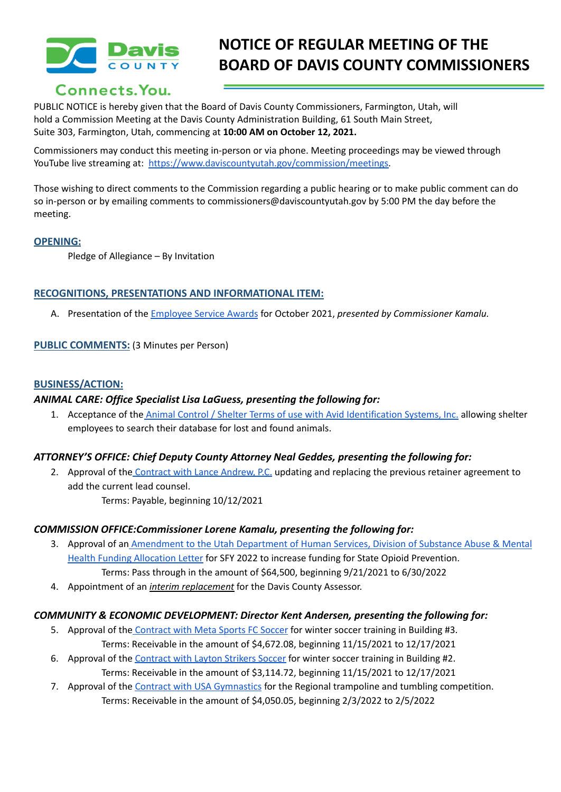

# **NOTICE OF REGULAR MEETING OF THE BOARD OF DAVIS COUNTY COMMISSIONERS**

## Connects. You.

PUBLIC NOTICE is hereby given that the Board of Davis County Commissioners, Farmington, Utah, will hold a Commission Meeting at the Davis County Administration Building, 61 South Main Street, Suite 303, Farmington, Utah, commencing at **10:00 AM on October 12, 2021.**

Commissioners may conduct this meeting in-person or via phone. Meeting proceedings may be viewed through YouTube live streaming at: [https://www.daviscountyutah.gov/commission/meetings.](https://www.daviscountyutah.gov/commission/meetings)

Those wishing to direct comments to the Commission regarding a public hearing or to make public comment can do so in-person or by emailing comments to commissioners@daviscountyutah.gov by 5:00 PM the day before the meeting.

### **OPENING:**

Pledge of Allegiance – By Invitation

### **RECOGNITIONS, PRESENTATIONS AND INFORMATIONAL ITEM:**

A. Presentation of the [Employee](https://drive.google.com/file/d/143E_7bd9Cprum_QN87PhkzGKkLRj7HmJ/view?usp=sharing) Service Awards for October 2021, *presented by Commissioner Kamalu.*

### **PUBLIC COMMENTS:** (3 Minutes per Person)

### **BUSINESS/ACTION:**

### *ANIMAL CARE: Office Specialist Lisa LaGuess, presenting the following for:*

1. Acceptance of the Animal Control / Shelter Terms of use with Avid [Identification](https://drive.google.com/file/d/1kLf5vLU_ra1Nvy00t6lUX9ENqZqJfpz1/view?usp=sharing) Systems, Inc. allowing shelter employees to search their database for lost and found animals.

### *ATTORNEY'S OFFICE: Chief Deputy County Attorney Neal Geddes, presenting the following for:*

2. Approval of the [Contract](https://drive.google.com/file/d/16KQ86Buks12Cpx4xfLyDrc2bcUYAfLXX/view?usp=sharing) with Lance Andrew, P.C. updating and replacing the previous retainer agreement to add the current lead counsel.

Terms: Payable, beginning 10/12/2021

### *COMMISSION OFFICE:Commissioner Lorene Kamalu, presenting the following for:*

- 3. Approval of an [Amendment](https://drive.google.com/file/d/1vcNSmSrGWbYxpLZwH4ayuQrPG1J1EeZ7/view?usp=sharing) to the Utah Department of Human Services, Division of Substance Abuse & Mental Health Funding [Allocation](https://drive.google.com/file/d/1vcNSmSrGWbYxpLZwH4ayuQrPG1J1EeZ7/view?usp=sharing) Letter for SFY 2022 to increase funding for State Opioid Prevention. Terms: Pass through in the amount of \$64,500, beginning 9/21/2021 to 6/30/2022
- 4. Appointment of an *interim replacement* for the Davis County Assessor.

### *COMMUNITY & ECONOMIC DEVELOPMENT: Director Kent Andersen, presenting the following for:*

- 5. Approval of the [Contract](https://drive.google.com/file/d/1YXHfqa9SBRcfC1lB36K7JA1rmhb10fxm/view?usp=sharing) with Meta Sports FC Soccer for winter soccer training in Building #3. Terms: Receivable in the amount of \$4,672.08, beginning 11/15/2021 to 12/17/2021
- 6. Approval of the [Contract](https://drive.google.com/file/d/1uc59KfEfkvpdj9RuZbMn-2vE_Wf5LNl-/view?usp=sharing) with Layton Strikers Soccer for winter soccer training in Building #2. Terms: Receivable in the amount of \$3,114.72, beginning 11/15/2021 to 12/17/2021
- 7. Approval of the Contract with USA [Gymnastics](https://drive.google.com/file/d/1jrbHsDUM83h_txEf8NYyJnOk4bb-n5hk/view?usp=sharing) for the Regional trampoline and tumbling competition. Terms: Receivable in the amount of \$4,050.05, beginning 2/3/2022 to 2/5/2022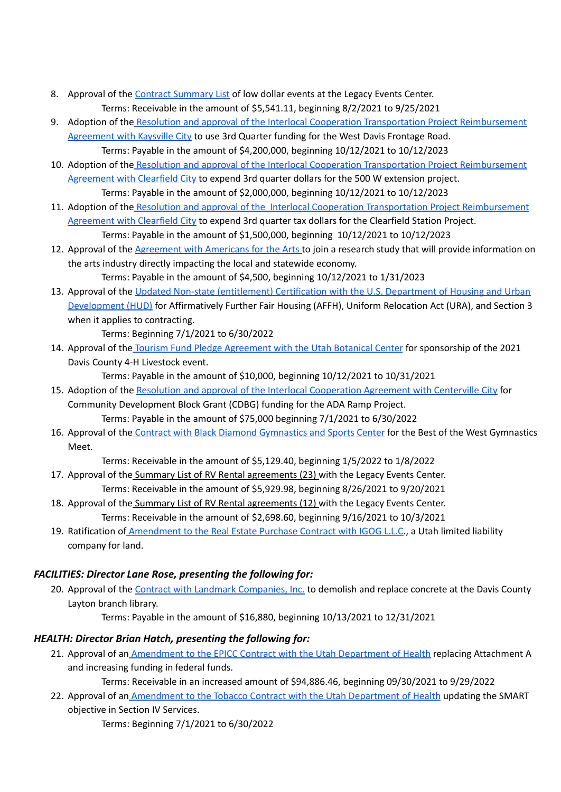- 8. Approval of the Contract [Summary](https://drive.google.com/file/d/162GgwMy7m40n-IfJ6TA-GB40j3-vQgMi/view?usp=sharing) List of low dollar events at the Legacy Events Center. Terms: Receivable in the amount of \$5,541.11, beginning 8/2/2021 to 9/25/2021
- 9. Adoption of the Resolution and approval of the Interlocal Cooperation Transportation Project [Reimbursement](https://drive.google.com/file/d/1aAyAnyEpN2NWwdSfmMbRddi6304RbUdg/view?usp=sharing) [Agreement](https://drive.google.com/file/d/1aAyAnyEpN2NWwdSfmMbRddi6304RbUdg/view?usp=sharing) with Kaysville City to use 3rd Quarter funding for the West Davis Frontage Road. Terms: Payable in the amount of \$4,200,000, beginning 10/12/2021 to 10/12/2023
- 10. Adoption of the Resolution and approval of the Interlocal Cooperation Transportation Project [Reimbursement](https://drive.google.com/file/d/1II4nXy-C5qExbgbhruQSSwXNnOaEjmUD/view?usp=sharing) [Agreement](https://drive.google.com/file/d/1II4nXy-C5qExbgbhruQSSwXNnOaEjmUD/view?usp=sharing) with Clearfield City to expend 3rd quarter dollars for the 500 W extension project.
- Terms: Payable in the amount of \$2,000,000, beginning 10/12/2021 to 10/12/2023 11. Adoption of the Resolution and approval of the Interlocal Cooperation Transportation Project [Reimbursement](https://drive.google.com/file/d/1M61ry-lDRnID7T5mmIJTKydt-6HI0Ns3/view?usp=sharing) [Agreement](https://drive.google.com/file/d/1M61ry-lDRnID7T5mmIJTKydt-6HI0Ns3/view?usp=sharing) with Clearfield City to expend 3rd quarter tax dollars for the Clearfield Station Project. Terms: Payable in the amount of \$1,500,000, beginning 10/12/2021 to 10/12/2023
- 12. Approval of the [Agreement](https://drive.google.com/file/d/1x3dpZkezrbuivYVp_7VgKRlj3bLldy1O/view?usp=sharing) with Americans for the Arts to join a research study that will provide information on the arts industry directly impacting the local and statewide economy.

Terms: Payable in the amount of \$4,500, beginning 10/12/2021 to 1/31/2023

13. Approval of the Updated Non-state [\(entitlement\)](https://drive.google.com/file/d/1r8y5WCLrfyBZgXGdGPQQd17mrtdKYvrx/view?usp=sharing) Certification with the U.S. Department of Housing and Urban [Development](https://drive.google.com/file/d/1r8y5WCLrfyBZgXGdGPQQd17mrtdKYvrx/view?usp=sharing) (HUD) for Affirmatively Further Fair Housing (AFFH), Uniform Relocation Act (URA), and Section 3 when it applies to contracting.

Terms: Beginning 7/1/2021 to 6/30/2022

14. Approval of the Tourism Fund Pledge [Agreement](https://drive.google.com/file/d/1rrZukyNbPJ2QE-qhdjXpnTJFwdFIeiQo/view?usp=sharing) with the Utah Botanical Center for sponsorship of the 2021 Davis County 4-H Livestock event.

Terms: Payable in the amount of \$10,000, beginning 10/12/2021 to 10/31/2021

- 15. Adoption of the Resolution and approval of the Interlocal [Cooperation](https://drive.google.com/file/d/1viE84RfSJBgSI19NGOCtL2yxLzR1D1VW/view?usp=sharing) Agreement with Centerville City for Community Development Block Grant (CDBG) funding for the ADA Ramp Project. Terms: Payable in the amount of \$75,000 beginning 7/1/2021 to 6/30/2022
- 16. Approval of the Contract with Black Diamond [Gymnastics](https://drive.google.com/file/d/1qEeJXwdlaebo-Akd2vH8hpk7a9IEIcfG/view?usp=sharing) and Sports Center for the Best of the West Gymnastics Meet.

Terms: Receivable in the amount of \$5,129.40, beginning 1/5/2022 to 1/8/2022

- 17. Approval of the Summary List of RV Rental agreements (23) with the Legacy Events Center. Terms: Receivable in the amount of \$5,929.98, beginning 8/26/2021 to 9/20/2021
- 18. Approval of the Summary List of RV Rental agreements (12) with the Legacy Events Center. Terms: Receivable in the amount of \$2,698.60, beginning 9/16/2021 to 10/3/2021
- 19. Ratification of [Amendment](https://drive.google.com/file/d/1e1lIji20cUTY4cJJQhvsNepjxEh0xpBA/view?usp=sharing) to the Real Estate Purchase Contract with IGOG L.L.C., a Utah limited liability company for land.

### *FACILITIES: Director Lane Rose, presenting the following for:*

20. Approval of the Contract with Landmark [Companies,](https://drive.google.com/file/d/1tbdOvFht7O7gbWWBX6N9HKAx9Ak-fkMG/view?usp=sharing) Inc. to demolish and replace concrete at the Davis County Layton branch library.

Terms: Payable in the amount of \$16,880, beginning 10/13/2021 to 12/31/2021

### *HEALTH: Director Brian Hatch, presenting the following for:*

21. Approval of an [Amendment](https://drive.google.com/file/d/1Z5ePbyly6R4se5mgieuJDlNeBIvxFS6S/view?usp=sharing) to the EPICC Contract with the Utah Department of Health replacing Attachment A and increasing funding in federal funds.

Terms: Receivable in an increased amount of \$94,886.46, beginning 09/30/2021 to 9/29/2022

22. Approval of an [Amendment](https://drive.google.com/file/d/1QWz66fPhi_H2jKe0fBcKKf-4pzUsXphE/view?usp=sharing) to the Tobacco Contract with the Utah Department of Health updating the SMART objective in Section IV Services.

Terms: Beginning 7/1/2021 to 6/30/2022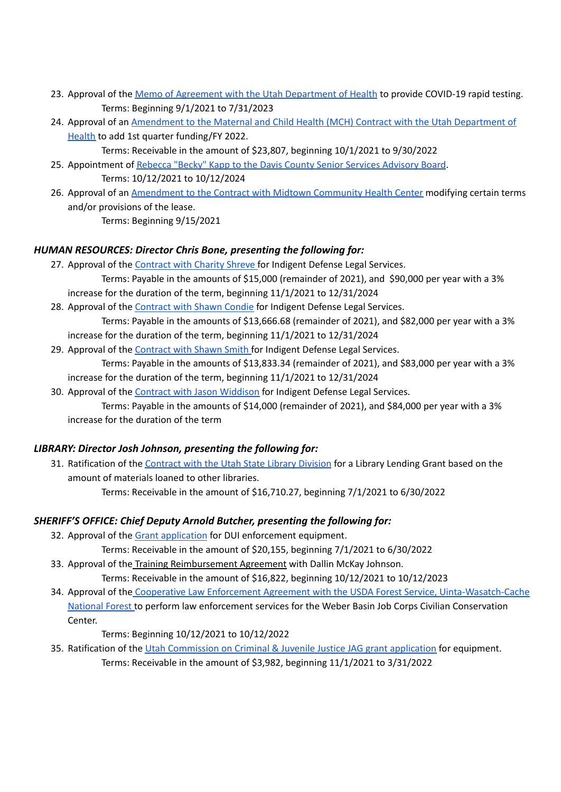- 23. Approval of the Memo of Agreement with the Utah [Department](https://drive.google.com/file/d/1E9po1JpXJGgbBvt_sF5DFFN3gvX61bdq/view?usp=sharing) of Health to provide COVID-19 rapid testing. Terms: Beginning 9/1/2021 to 7/31/2023
- 24. Approval of an [Amendment](https://drive.google.com/file/d/1uBLGaBLcu27OTXEF9uZcttPaoTudKqg4/view?usp=sharing) to the Maternal and Child Health (MCH) Contract with the Utah Department of [Health](https://drive.google.com/file/d/1uBLGaBLcu27OTXEF9uZcttPaoTudKqg4/view?usp=sharing) to add 1st quarter funding/FY 2022.

Terms: Receivable in the amount of \$23,807, beginning 10/1/2021 to 9/30/2022

- 25. Appointment of Rebecca "Becky" Kapp to the Davis County Senior Services [Advisory](https://drive.google.com/file/d/1kXZ5-yfYPo1zGjgbLinQaKb8gUTZ6IjX/view?usp=sharing) Board. Terms: 10/12/2021 to 10/12/2024
- 26. Approval of an [Amendment](https://drive.google.com/file/d/1J9T4IV4F65P0k6sWaZEt8tVc1U6gMXuB/view?usp=sharing) to the Contract with Midtown Community Health Center modifying certain terms and/or provisions of the lease.

Terms: Beginning 9/15/2021

### *HUMAN RESOURCES: Director Chris Bone, presenting the following for:*

27. Approval of the [Contract](https://drive.google.com/file/d/1LJFH8UJOrbxtSuOqtfsSPuuj7GwPYPWT/view?usp=sharing) with Charity Shreve for Indigent Defense Legal Services.

Terms: Payable in the amounts of \$15,000 (remainder of 2021), and \$90,000 per year with a 3% increase for the duration of the term, beginning 11/1/2021 to 12/31/2024

- 28. Approval of the [Contract](https://drive.google.com/file/d/13dPXCDACMj4U76UBFj_5PTuWGZ479kDX/view?usp=sharing) with Shawn Condie for Indigent Defense Legal Services. Terms: Payable in the amounts of \$13,666.68 (remainder of 2021), and \$82,000 per year with a 3% increase for the duration of the term, beginning 11/1/2021 to 12/31/2024
- 29. Approval of the [Contract](https://drive.google.com/file/d/1Fxp8B_ZKri_sR31hKH6w7-BWXotWK9Ft/view?usp=sharing) with Shawn Smith for Indigent Defense Legal Services. Terms: Payable in the amounts of \$13,833.34 (remainder of 2021), and \$83,000 per year with a 3%
- increase for the duration of the term, beginning 11/1/2021 to 12/31/2024
- 30. Approval of the Contract with Jason [Widdison](https://drive.google.com/file/d/14hfPK1wUGrmSgre3u-uXEW4-RrItyLKu/view?usp=sharing) for Indigent Defense Legal Services.

Terms: Payable in the amounts of \$14,000 (remainder of 2021), and \$84,000 per year with a 3% increase for the duration of the term

### *LIBRARY: Director Josh Johnson, presenting the following for:*

31. Ratification of the [Contract](https://drive.google.com/file/d/1vgzXzcnmBi5DYrpED7497ZI0rbN6jxoN/view?usp=sharing) with the Utah State Library Division for a Library Lending Grant based on the amount of materials loaned to other libraries.

Terms: Receivable in the amount of \$16,710.27, beginning 7/1/2021 to 6/30/2022

### *SHERIFF'S OFFICE: Chief Deputy Arnold Butcher, presenting the following for:*

32. Approval of the Grant [application](https://drive.google.com/file/d/1panjJq_lvCMTaAF25k6Aeykt1wrgN1nt/view?usp=sharing) for DUI enforcement equipment.

Terms: Receivable in the amount of \$20,155, beginning 7/1/2021 to 6/30/2022

- 33. Approval of the Training Reimbursement Agreement with Dallin McKay Johnson. Terms: Receivable in the amount of \$16,822, beginning 10/12/2021 to 10/12/2023
- 34. Approval of the Cooperative Law Enforcement Agreement with the USDA Forest Service, [Uinta-Wasatch-Cache](https://drive.google.com/file/d/1gX71ADuNhb8iOgsR0SPWZPvMTu6TKmF_/view?usp=sharing) [National](https://drive.google.com/file/d/1gX71ADuNhb8iOgsR0SPWZPvMTu6TKmF_/view?usp=sharing) Forest to perform law enforcement services for the Weber Basin Job Corps Civilian Conservation Center.

Terms: Beginning 10/12/2021 to 10/12/2022

35. Ratification of the Utah [Commission](https://drive.google.com/file/d/1jgK5SMMjAVmAu7xZ-XkowTte4MPUtNky/view?usp=sharing) on Criminal & Juvenile Justice JAG grant application for equipment. Terms: Receivable in the amount of \$3,982, beginning 11/1/2021 to 3/31/2022